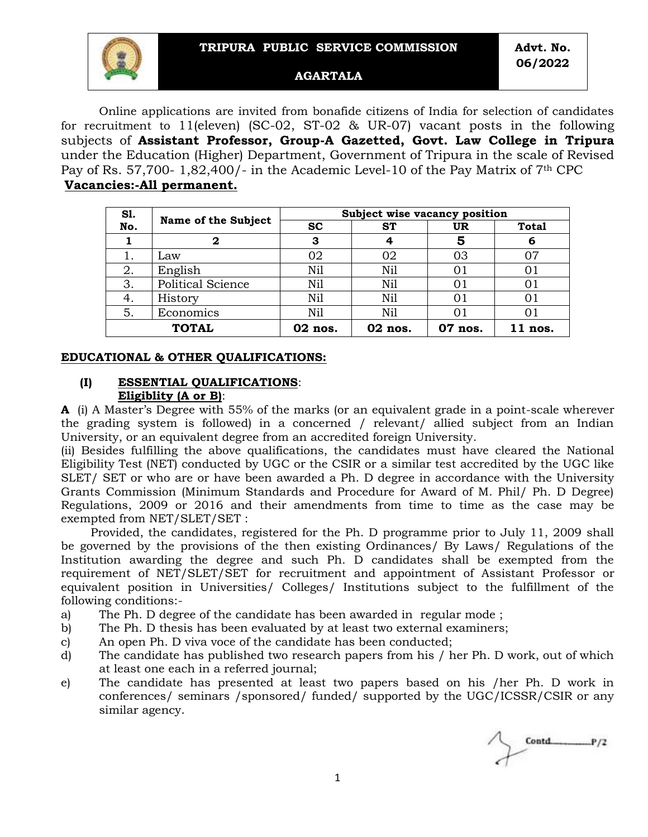**Advt. No. 06/2022**



#### **AGARTALA**

Online applications are invited from bonafide citizens of India for selection of candidates for recruitment to 11(eleven) (SC-02, ST-02 & UR-07) vacant posts in the following subjects of **Assistant Professor, Group-A Gazetted, Govt. Law College in Tripura** under the Education (Higher) Department, Government of Tripura in the scale of Revised Pay of Rs. 57,700- 1,82,400/- in the Academic Level-10 of the Pay Matrix of  $7<sup>th</sup>$  CPC **Vacancies:-All permanent.** 

| <b>S1.</b>   |                            | Subject wise vacancy position |           |         |              |
|--------------|----------------------------|-------------------------------|-----------|---------|--------------|
| No.          | <b>Name of the Subject</b> | <b>SC</b>                     | <b>ST</b> | UR      | <b>Total</b> |
|              | 2                          | 3                             |           | 5       | 6            |
|              | Law                        | 02                            | 02        | 03      | 07           |
| 2.           | English                    | Nil                           | Nil       | 01      | 01           |
| 3.           | Political Science          | Nil                           | Nil       | 01      | 01           |
| 4.           | History                    | Nil                           | Nil       | 01      | 01           |
| 5.           | Economics                  | Nil                           | Nil       | 01      | 01           |
| <b>TOTAL</b> |                            | 02 nos.                       | 02 nos.   | 07 nos. | $11$ nos.    |

#### **EDUCATIONAL & OTHER QUALIFICATIONS:**

#### **(I) ESSENTIAL QUALIFICATIONS**: **Eligiblity (A or B)**:

**A** (i) A Master's Degree with 55% of the marks (or an equivalent grade in a point-scale wherever the grading system is followed) in a concerned / relevant/ allied subject from an Indian University, or an equivalent degree from an accredited foreign University.

(ii) Besides fulfilling the above qualifications, the candidates must have cleared the National Eligibility Test (NET) conducted by UGC or the CSIR or a similar test accredited by the UGC like SLET/ SET or who are or have been awarded a Ph. D degree in accordance with the University Grants Commission (Minimum Standards and Procedure for Award of M. Phil/ Ph. D Degree) Regulations, 2009 or 2016 and their amendments from time to time as the case may be exempted from NET/SLET/SET :

 Provided, the candidates, registered for the Ph. D programme prior to July 11, 2009 shall be governed by the provisions of the then existing Ordinances/ By Laws/ Regulations of the Institution awarding the degree and such Ph. D candidates shall be exempted from the requirement of NET/SLET/SET for recruitment and appointment of Assistant Professor or equivalent position in Universities/ Colleges/ Institutions subject to the fulfillment of the following conditions:-

- a) The Ph. D degree of the candidate has been awarded in regular mode ;
- b) The Ph. D thesis has been evaluated by at least two external examiners;
- c) An open Ph. D viva voce of the candidate has been conducted;
- d) The candidate has published two research papers from his / her Ph. D work, out of which at least one each in a referred journal;
- e) The candidate has presented at least two papers based on his /her Ph. D work in conferences/ seminars /sponsored/ funded/ supported by the UGC/ICSSR/CSIR or any similar agency.

 $Control$ <sub>P/2</sub>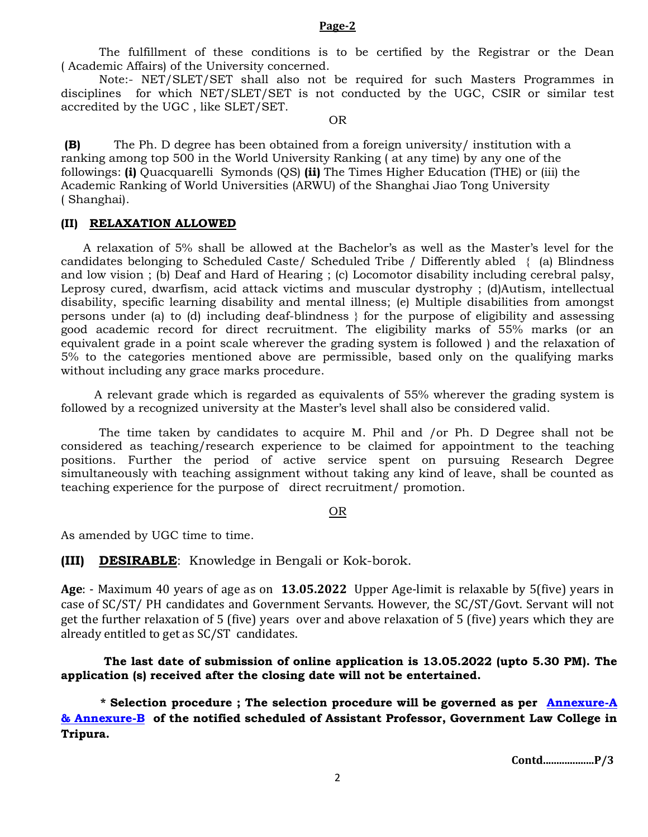#### **Page-2**

The fulfillment of these conditions is to be certified by the Registrar or the Dean ( Academic Affairs) of the University concerned.

Note:- NET/SLET/SET shall also not be required for such Masters Programmes in disciplines for which NET/SLET/SET is not conducted by the UGC, CSIR or similar test accredited by the UGC , like SLET/SET.

OR

**(B)** The Ph. D degree has been obtained from a foreign university/ institution with a ranking among top 500 in the World University Ranking ( at any time) by any one of the followings: **(i)** Quacquarelli Symonds (QS) **(ii)** The Times Higher Education (THE) or (iii) the Academic Ranking of World Universities (ARWU) of the Shanghai Jiao Tong University ( Shanghai).

## **(II) RELAXATION ALLOWED**

 A relaxation of 5% shall be allowed at the Bachelor's as well as the Master's level for the candidates belonging to Scheduled Caste/ Scheduled Tribe / Differently abled { (a) Blindness and low vision ; (b) Deaf and Hard of Hearing ; (c) Locomotor disability including cerebral palsy, Leprosy cured, dwarfism, acid attack victims and muscular dystrophy ; (d)Autism, intellectual disability, specific learning disability and mental illness; (e) Multiple disabilities from amongst persons under (a) to (d) including deaf-blindness } for the purpose of eligibility and assessing good academic record for direct recruitment. The eligibility marks of 55% marks (or an equivalent grade in a point scale wherever the grading system is followed ) and the relaxation of 5% to the categories mentioned above are permissible, based only on the qualifying marks without including any grace marks procedure.

 A relevant grade which is regarded as equivalents of 55% wherever the grading system is followed by a recognized university at the Master's level shall also be considered valid.

The time taken by candidates to acquire M. Phil and /or Ph. D Degree shall not be considered as teaching/research experience to be claimed for appointment to the teaching positions. Further the period of active service spent on pursuing Research Degree simultaneously with teaching assignment without taking any kind of leave, shall be counted as teaching experience for the purpose of direct recruitment/ promotion.

#### OR

As amended by UGC time to time.

**(III) DESIRABLE**: Knowledge in Bengali or Kok-borok.

**Age**: - Maximum 40 years of age as on **13.05.2022** Upper Age-limit is relaxable by 5(five) years in case of SC/ST/ PH candidates and Government Servants. However, the SC/ST/Govt. Servant will not get the further relaxation of 5 (five) years over and above relaxation of 5 (five) years which they are already entitled to get as SC/ST candidates.

**The last date of submission of online application is 13.05.2022 (upto 5.30 PM). The application (s) received after the closing date will not be entertained.**

 **\* Selection procedure ; The selection procedure will be governed as per [Annexure-A](https://tpsc.tripura.gov.in/sites/default/files/annexure_a_b.pdf)  [& Annexure-B](https://tpsc.tripura.gov.in/sites/default/files/annexure_a_b.pdf) of the notified scheduled of Assistant Professor, Government Law College in Tripura.** 

**Contd...................P/3**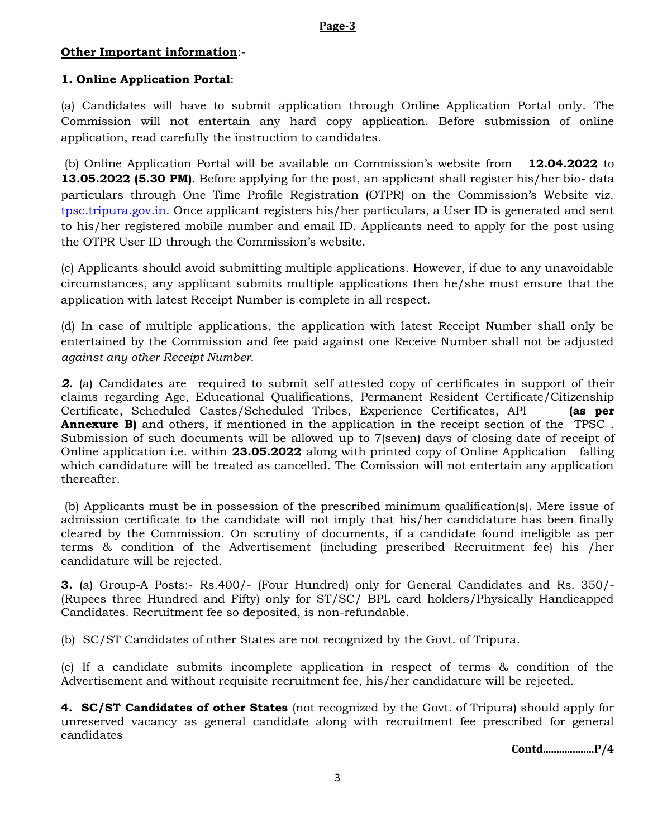### **Page-3**

## **Other Important information**:-

# **1. Online Application Portal**:

(a) Candidates will have to submit application through Online Application Portal only. The Commission will not entertain any hard copy application. Before submission of online application, read carefully the instruction to candidates.

(b) Online Application Portal will be available on Commission's website from **12.04.2022** to **13.05.2022 (5.30 PM)**. Before applying for the post, an applicant shall register his/her bio-data particulars through One Time Profile Registration (OTPR) on the Commission's Website viz. tpsc.tripura.gov.in. Once applicant registers his/her particulars, a User ID is generated and sent to his/her registered mobile number and email ID. Applicants need to apply for the post using the OTPR User ID through the Commission's website.

(c) Applicants should avoid submitting multiple applications. However, if due to any unavoidable circumstances, any applicant submits multiple applications then he/she must ensure that the application with latest Receipt Number is complete in all respect.

(d) In case of multiple applications, the application with latest Receipt Number shall only be entertained by the Commission and fee paid against one Receive Number shall not be adjusted *against any other Receipt Number.*

**2.** (a) Candidates are required to submit self attested copy of certificates in support of their claims regarding Age, Educational Qualifications, Permanent Resident Certificate/Citizenship Certificate, Scheduled Castes/Scheduled Tribes, Experience Certificates, API **(as per Annexure B)** and others, if mentioned in the application in the receipt section of the TPSC . Submission of such documents will be allowed up to 7(seven) days of closing date of receipt of Online application i.e. within **23.05.2022** along with printed copy of Online Application falling which candidature will be treated as cancelled. The Comission will not entertain any application thereafter.

(b) Applicants must be in possession of the prescribed minimum qualification(s). Mere issue of admission certificate to the candidate will not imply that his/her candidature has been finally cleared by the Commission. On scrutiny of documents, if a candidate found ineligible as per terms & condition of the Advertisement (including prescribed Recruitment fee) his /her candidature will be rejected.

**3.** (a) Group-A Posts:- Rs.400/- (Four Hundred) only for General Candidates and Rs. 350/- (Rupees three Hundred and Fifty) only for ST/SC/ BPL card holders/Physically Handicapped Candidates. Recruitment fee so deposited, is non-refundable.

(b) SC/ST Candidates of other States are not recognized by the Govt. of Tripura.

(c) If a candidate submits incomplete application in respect of terms & condition of the Advertisement and without requisite recruitment fee, his/her candidature will be rejected.

**4. SC/ST Candidates of other States** (not recognized by the Govt. of Tripura) should apply for unreserved vacancy as general candidate along with recruitment fee prescribed for general candidates

**Contd...................P/4**